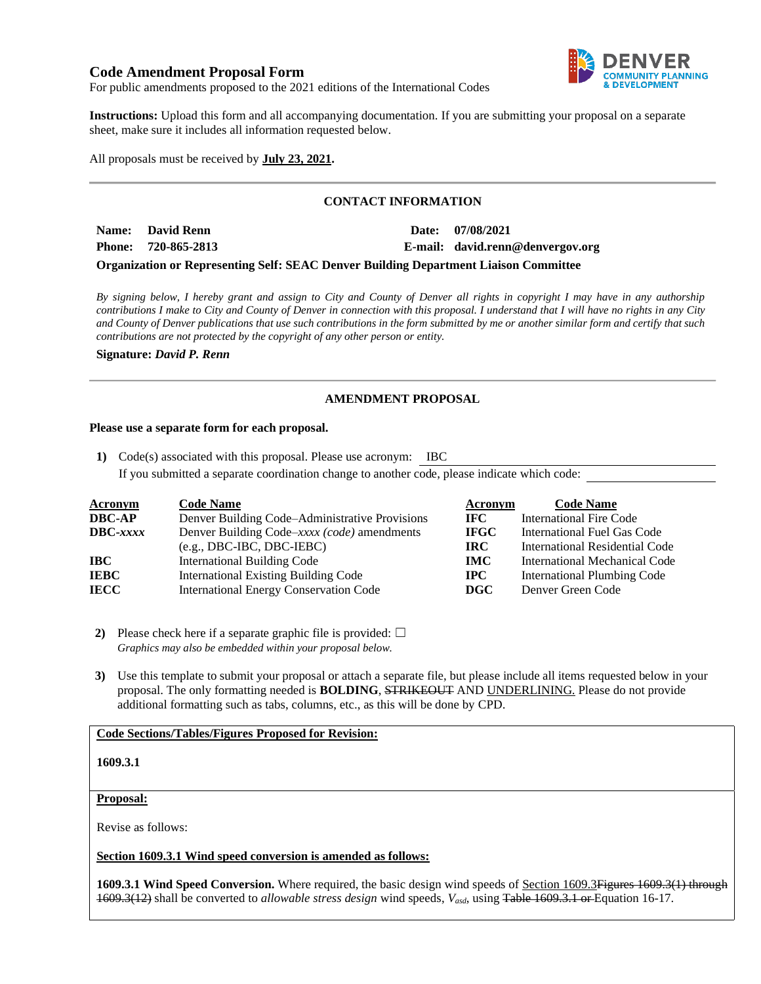# **Code Amendment Proposal Form**



For public amendments proposed to the 2021 editions of the International Codes

**Instructions:** Upload this form and all accompanying documentation. If you are submitting your proposal on a separate sheet, make sure it includes all information requested below.

All proposals must be received by **July 23, 2021.**

# **CONTACT INFORMATION**

| Name: David Renn    |  | Date: 07/08/2021                 |
|---------------------|--|----------------------------------|
| Phone: 720-865-2813 |  | E-mail: david.renn@denvergov.org |
|                     |  |                                  |

**Organization or Representing Self: SEAC Denver Building Department Liaison Committee**

*By signing below, I hereby grant and assign to City and County of Denver all rights in copyright I may have in any authorship contributions I make to City and County of Denver in connection with this proposal. I understand that I will have no rights in any City and County of Denver publications that use such contributions in the form submitted by me or another similar form and certify that such contributions are not protected by the copyright of any other person or entity.* 

**Signature:** *David P. Renn*

# **AMENDMENT PROPOSAL**

#### **Please use a separate form for each proposal.**

**1)** Code(s) associated with this proposal. Please use acronym: IBC If you submitted a separate coordination change to another code, please indicate which code:

| <b>Acronym</b>    | <b>Code Name</b>                               | Acronym      | <b>Code Name</b>               |
|-------------------|------------------------------------------------|--------------|--------------------------------|
| <b>DBC-AP</b>     | Denver Building Code–Administrative Provisions | IFC.         | International Fire Code        |
| $\text{DBC}-xxxx$ | Denver Building Code–xxxx (code) amendments    | <b>IFGC</b>  | International Fuel Gas Code    |
|                   | $(e.g., DBC-IBC, DBC-IEBC)$                    | IRC.         | International Residential Code |
| IBC               | <b>International Building Code</b>             | <b>IMC</b>   | International Mechanical Code  |
| <b>IEBC</b>       | <b>International Existing Building Code</b>    | $_{\rm IPC}$ | International Plumbing Code    |
| <b>IECC</b>       | <b>International Energy Conservation Code</b>  | DGC          | Denver Green Code              |

**2)** Please check here if a separate graphic file is provided:  $\Box$ *Graphics may also be embedded within your proposal below.*

**3)** Use this template to submit your proposal or attach a separate file, but please include all items requested below in your proposal. The only formatting needed is **BOLDING**, STRIKEOUT AND UNDERLINING. Please do not provide additional formatting such as tabs, columns, etc., as this will be done by CPD.

# **Code Sections/Tables/Figures Proposed for Revision:**

# **1609.3.1**

### **Proposal:**

Revise as follows:

**Section 1609.3.1 Wind speed conversion is amended as follows:**

**1609.3.1 Wind Speed Conversion.** Where required, the basic design wind speeds of Section 1609.3<del>Figures 1609.3(1) through</del> 1609.3(12) shall be converted to *allowable stress design* wind speeds, *Vasd*, using Table 1609.3.1 or Equation 16-17.